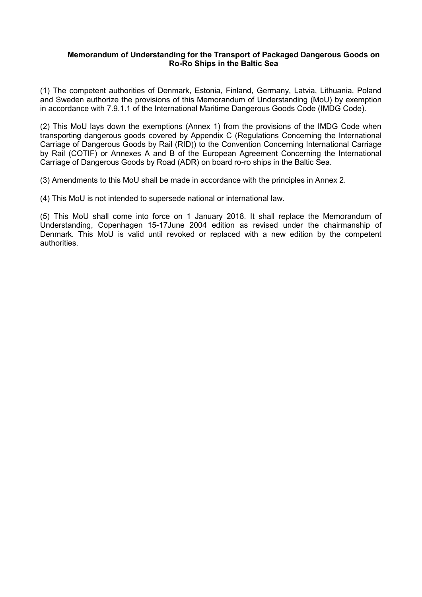#### **Memorandum of Understanding for the Transport of Packaged Dangerous Goods on Ro-Ro Ships in the Baltic Sea**

(1) The competent authorities of Denmark, Estonia, Finland, Germany, Latvia, Lithuania, Poland and Sweden authorize the provisions of this Memorandum of Understanding (MoU) by exemption in accordance with 7.9.1.1 of the International Maritime Dangerous Goods Code (IMDG Code).

(2) This MoU lays down the exemptions (Annex 1) from the provisions of the IMDG Code when transporting dangerous goods covered by Appendix C (Regulations Concerning the International Carriage of Dangerous Goods by Rail (RID)) to the Convention Concerning International Carriage by Rail (COTIF) or Annexes A and B of the European Agreement Concerning the International Carriage of Dangerous Goods by Road (ADR) on board ro-ro ships in the Baltic Sea.

(3) Amendments to this MoU shall be made in accordance with the principles in Annex 2.

(4) This MoU is not intended to supersede national or international law.

(5) This MoU shall come into force on 1 January 2018. It shall replace the Memorandum of Understanding, Copenhagen 15-17June 2004 edition as revised under the chairmanship of Denmark. This MoU is valid until revoked or replaced with a new edition by the competent authorities.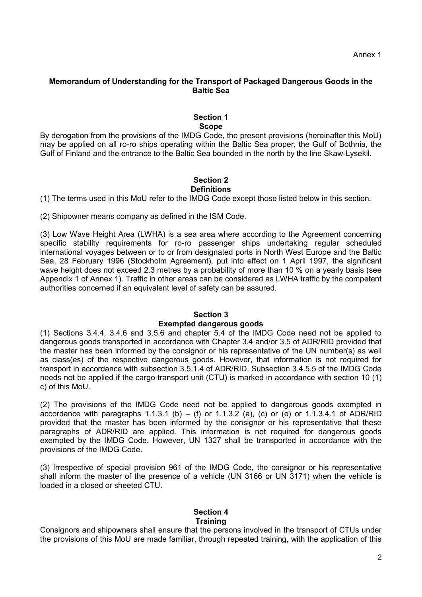### **Memorandum of Understanding for the Transport of Packaged Dangerous Goods in the Baltic Sea**

#### **Section 1 Scope**

By derogation from the provisions of the IMDG Code, the present provisions (hereinafter this MoU) may be applied on all ro-ro ships operating within the Baltic Sea proper, the Gulf of Bothnia, the Gulf of Finland and the entrance to the Baltic Sea bounded in the north by the line Skaw-Lysekil.

# **Section 2**

# **Definitions**

(1) The terms used in this MoU refer to the IMDG Code except those listed below in this section.

(2) Shipowner means company as defined in the ISM Code.

(3) Low Wave Height Area (LWHA) is a sea area where according to the Agreement concerning specific stability requirements for ro-ro passenger ships undertaking regular scheduled international voyages between or to or from designated ports in North West Europe and the Baltic Sea, 28 February 1996 (Stockholm Agreement), put into effect on 1 April 1997, the significant wave height does not exceed 2.3 metres by a probability of more than 10 % on a yearly basis (see Appendix 1 of Annex 1). Traffic in other areas can be considered as LWHA traffic by the competent authorities concerned if an equivalent level of safety can be assured.

#### **Section 3**

#### **Exempted dangerous goods**

(1) Sections 3.4.4, 3.4.6 and 3.5.6 and chapter 5.4 of the IMDG Code need not be applied to dangerous goods transported in accordance with Chapter 3.4 and/or 3.5 of ADR/RID provided that the master has been informed by the consignor or his representative of the UN number(s) as well as class(es) of the respective dangerous goods. However, that information is not required for transport in accordance with subsection 3.5.1.4 of ADR/RID. Subsection 3.4.5.5 of the IMDG Code needs not be applied if the cargo transport unit (CTU) is marked in accordance with section 10 (1) c) of this MoU.

(2) The provisions of the IMDG Code need not be applied to dangerous goods exempted in accordance with paragraphs 1.1.3.1 (b) – (f) or 1.1.3.2 (a), (c) or (e) or 1.1.3.4.1 of ADR/RID provided that the master has been informed by the consignor or his representative that these paragraphs of ADR/RID are applied. This information is not required for dangerous goods exempted by the IMDG Code. However, UN 1327 shall be transported in accordance with the provisions of the IMDG Code.

(3) Irrespective of special provision 961 of the IMDG Code, the consignor or his representative shall inform the master of the presence of a vehicle (UN 3166 or UN 3171) when the vehicle is loaded in a closed or sheeted CTU.

#### **Section 4 Training**

Consignors and shipowners shall ensure that the persons involved in the transport of CTUs under the provisions of this MoU are made familiar, through repeated training, with the application of this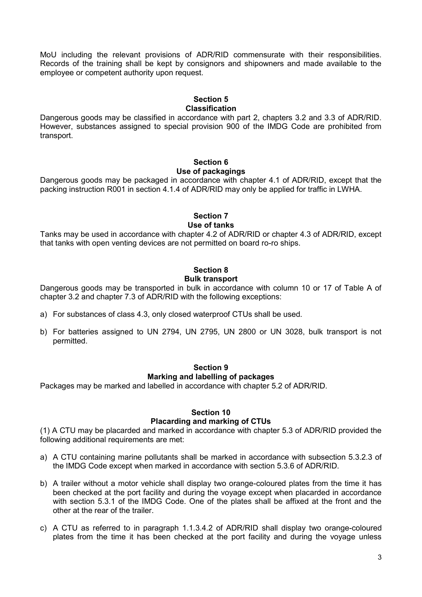MoU including the relevant provisions of ADR/RID commensurate with their responsibilities. Records of the training shall be kept by consignors and shipowners and made available to the employee or competent authority upon request.

#### **Section 5 Classification**

Dangerous goods may be classified in accordance with part 2, chapters 3.2 and 3.3 of ADR/RID. However, substances assigned to special provision 900 of the IMDG Code are prohibited from transport.

#### **Section 6 Use of packagings**

Dangerous goods may be packaged in accordance with chapter 4.1 of ADR/RID, except that the packing instruction R001 in section 4.1.4 of ADR/RID may only be applied for traffic in LWHA.

# **Section 7**

### **Use of tanks**

Tanks may be used in accordance with chapter 4.2 of ADR/RID or chapter 4.3 of ADR/RID, except that tanks with open venting devices are not permitted on board ro-ro ships.

# **Section 8**

# **Bulk transport**

Dangerous goods may be transported in bulk in accordance with column 10 or 17 of Table A of chapter 3.2 and chapter 7.3 of ADR/RID with the following exceptions:

- a) For substances of class 4.3, only closed waterproof CTUs shall be used.
- b) For batteries assigned to UN 2794, UN 2795, UN 2800 or UN 3028, bulk transport is not permitted.

# **Section 9 Marking and labelling of packages**

Packages may be marked and labelled in accordance with chapter 5.2 of ADR/RID.

# **Section 10 Placarding and marking of CTUs**

(1) A CTU may be placarded and marked in accordance with chapter 5.3 of ADR/RID provided the following additional requirements are met:

- a) A CTU containing marine pollutants shall be marked in accordance with subsection 5.3.2.3 of the IMDG Code except when marked in accordance with section 5.3.6 of ADR/RID.
- b) A trailer without a motor vehicle shall display two orange-coloured plates from the time it has been checked at the port facility and during the voyage except when placarded in accordance with section 5.3.1 of the IMDG Code. One of the plates shall be affixed at the front and the other at the rear of the trailer.
- c) A CTU as referred to in paragraph 1.1.3.4.2 of ADR/RID shall display two orange-coloured plates from the time it has been checked at the port facility and during the voyage unless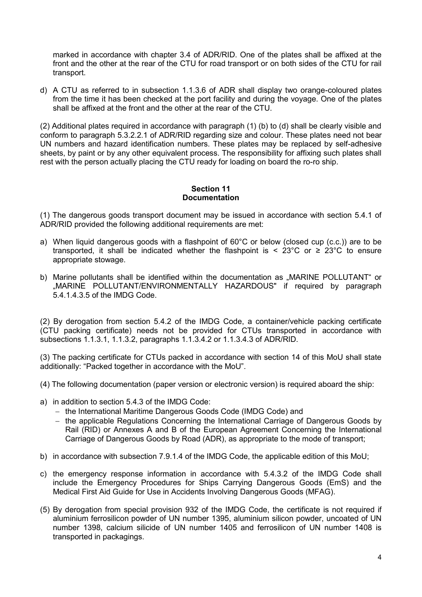marked in accordance with chapter 3.4 of ADR/RID. One of the plates shall be affixed at the front and the other at the rear of the CTU for road transport or on both sides of the CTU for rail transport.

d) A CTU as referred to in subsection 1.1.3.6 of ADR shall display two orange-coloured plates from the time it has been checked at the port facility and during the voyage. One of the plates shall be affixed at the front and the other at the rear of the CTU.

(2) Additional plates required in accordance with paragraph (1) (b) to (d) shall be clearly visible and conform to paragraph 5.3.2.2.1 of ADR/RID regarding size and colour. These plates need not bear UN numbers and hazard identification numbers. These plates may be replaced by self-adhesive sheets, by paint or by any other equivalent process. The responsibility for affixing such plates shall rest with the person actually placing the CTU ready for loading on board the ro-ro ship.

#### **Section 11 Documentation**

(1) The dangerous goods transport document may be issued in accordance with section 5.4.1 of ADR/RID provided the following additional requirements are met:

- a) When liquid dangerous goods with a flashpoint of 60°C or below (closed cup (c.c.)) are to be transported, it shall be indicated whether the flashpoint is <  $23^{\circ}$ C or  $\geq 23^{\circ}$ C to ensure appropriate stowage.
- b) Marine pollutants shall be identified within the documentation as "MARINE POLLUTANT" or .MARINE POLLUTANT/ENVIRONMENTALLY HAZARDOUS" if required by paragraph 5.4.1.4.3.5 of the IMDG Code.

(2) By derogation from section 5.4.2 of the IMDG Code, a container/vehicle packing certificate (CTU packing certificate) needs not be provided for CTUs transported in accordance with subsections 1.1.3.1, 1.1.3.2, paragraphs 1.1.3.4.2 or 1.1.3.4.3 of ADR/RID.

(3) The packing certificate for CTUs packed in accordance with section 14 of this MoU shall state additionally: "Packed together in accordance with the MoU".

- (4) The following documentation (paper version or electronic version) is required aboard the ship:
- a) in addition to section 5.4.3 of the IMDG Code:
	- the International Maritime Dangerous Goods Code (IMDG Code) and
	- $-$  the applicable Regulations Concerning the International Carriage of Dangerous Goods by Rail (RID) or Annexes A and B of the European Agreement Concerning the International Carriage of Dangerous Goods by Road (ADR), as appropriate to the mode of transport;
- b) in accordance with subsection 7.9.1.4 of the IMDG Code, the applicable edition of this MoU;
- c) the emergency response information in accordance with 5.4.3.2 of the IMDG Code shall include the Emergency Procedures for Ships Carrying Dangerous Goods (EmS) and the Medical First Aid Guide for Use in Accidents Involving Dangerous Goods (MFAG).
- (5) By derogation from special provision 932 of the IMDG Code, the certificate is not required if aluminium ferrosilicon powder of UN number 1395, aluminium silicon powder, uncoated of UN number 1398, calcium silicide of UN number 1405 and ferrosilicon of UN number 1408 is transported in packagings.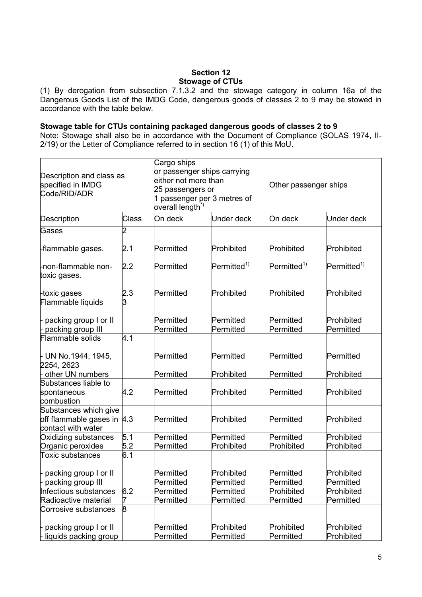# **Section 12 Stowage of CTUs**

(1) By derogation from subsection 7.1.3.2 and the stowage category in column 16a of the Dangerous Goods List of the IMDG Code, dangerous goods of classes 2 to 9 may be stowed in accordance with the table below.

#### **Stowage table for CTUs containing packaged dangerous goods of classes 2 to 9**

Note: Stowage shall also be in accordance with the Document of Compliance (SOLAS 1974, II-2/19) or the Letter of Compliance referred to in section 16 (1) of this MoU.

| Description and class as<br>specified in IMDG<br>Code/RID/ADR              |              | Cargo ships<br>or passenger ships carrying<br>either not more than<br>25 passengers or<br>1 passenger per 3 metres of<br>overall length <sup>*)</sup> |                         | Other passenger ships   |                          |
|----------------------------------------------------------------------------|--------------|-------------------------------------------------------------------------------------------------------------------------------------------------------|-------------------------|-------------------------|--------------------------|
| Description                                                                | <b>Class</b> | On deck                                                                                                                                               | Under deck              | On deck                 | <b>Under deck</b>        |
| Gases                                                                      | 2            |                                                                                                                                                       |                         |                         |                          |
| -flammable gases.                                                          | 2.1          | Permitted                                                                                                                                             | Prohibited              | Prohibited              | Prohibited               |
| -non-flammable non-<br>toxic gases.                                        | 2.2          | Permitted                                                                                                                                             | $Permitted^{1)}$        | $Permitted^{1)}$        | $Permitted^{1}$          |
| -toxic gases                                                               | 2.3          | Permitted                                                                                                                                             | Prohibited              | Prohibited              | Prohibited               |
| Flammable liquids                                                          | 3            |                                                                                                                                                       |                         |                         |                          |
| packing group I or II<br>packing group III                                 |              | Permitted<br>Permitted                                                                                                                                | Permitted<br>Permitted  | Permitted<br>Permitted  | Prohibited<br>Permitted  |
| Flammable solids                                                           | 4.1          |                                                                                                                                                       |                         |                         |                          |
| - UN No.1944, 1945,<br>2254, 2623                                          |              | Permitted                                                                                                                                             | Permitted               | Permitted               | Permitted                |
| other UN numbers                                                           |              | Permitted                                                                                                                                             | Prohibited              | Permitted               | Prohibited               |
| Substances liable to<br>spontaneous<br>combustion                          | 4.2          | Permitted                                                                                                                                             | Prohibited              | Permitted               | Prohibited               |
| Substances which give<br>off flammable gases in  4.3<br>contact with water |              | Permitted                                                                                                                                             | Prohibited              | Permitted               | Prohibited               |
| Oxidizing substances                                                       | 5.1          | Permitted                                                                                                                                             | Permitted               | Permitted               | Prohibited               |
| Organic peroxides                                                          | 5.2          | Permitted                                                                                                                                             | Prohibited              | Prohibited              | Prohibited               |
| <b>Toxic substances</b>                                                    | 6.1          |                                                                                                                                                       |                         |                         |                          |
| - packing group I or II<br>- packing group III                             |              | Permitted<br>Permitted                                                                                                                                | Prohibited<br>Permitted | Permitted<br>Permitted  | Prohibited<br>Permitted  |
| Infectious substances                                                      | 6.2          | Permitted                                                                                                                                             | Permitted               | Prohibited              | Prohibited               |
| Radioactive material                                                       | 7            | Permitted                                                                                                                                             | Permitted               | Permitted               | Permitted                |
| Corrosive substances                                                       | 8            |                                                                                                                                                       |                         |                         |                          |
| packing group I or II<br>- liquids packing group                           |              | Permitted<br>Permitted                                                                                                                                | Prohibited<br>Permitted | Prohibited<br>Permitted | Prohibited<br>Prohibited |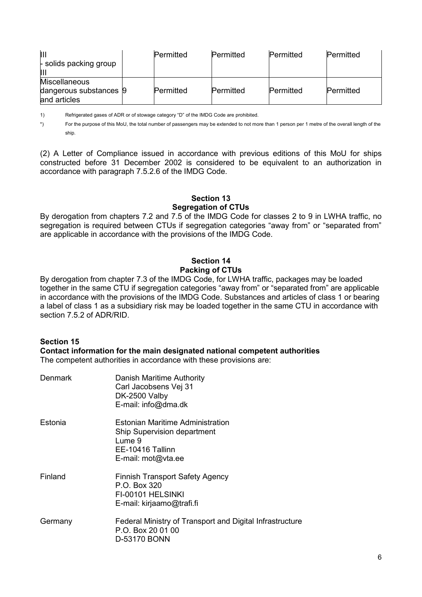| ÌШ<br>- solids packing group<br>Ш                              | Permitted | Permitted | Permitted | Permitted |
|----------------------------------------------------------------|-----------|-----------|-----------|-----------|
| <b>Miscellaneous</b><br>dangerous substances 9<br>and articles | Permitted | Permitted | Permitted | Permitted |

1) Refrigerated gases of ADR or of stowage category "D" of the IMDG Code are prohibited.

\*) For the purpose of this MoU, the total number of passengers may be extended to not more than 1 person per 1 metre of the overall length of the ship.

(2) A Letter of Compliance issued in accordance with previous editions of this MoU for ships constructed before 31 December 2002 is considered to be equivalent to an authorization in accordance with paragraph 7.5.2.6 of the IMDG Code.

### **Section 13 Segregation of CTUs**

By derogation from chapters 7.2 and 7.5 of the IMDG Code for classes 2 to 9 in LWHA traffic, no segregation is required between CTUs if segregation categories "away from" or "separated from" are applicable in accordance with the provisions of the IMDG Code.

# **Section 14 Packing of CTUs**

By derogation from chapter 7.3 of the IMDG Code, for LWHA traffic, packages may be loaded together in the same CTU if segregation categories "away from" or "separated from" are applicable in accordance with the provisions of the IMDG Code. Substances and articles of class 1 or bearing a label of class 1 as a subsidiary risk may be loaded together in the same CTU in accordance with section 7.5.2 of ADR/RID.

# **Section 15**

#### **Contact information for the main designated national competent authorities**

The competent authorities in accordance with these provisions are:

| Denmark | Danish Maritime Authority<br>Carl Jacobsens Vej 31<br>DK-2500 Valby<br>E-mail: info@dma.dk                                 |
|---------|----------------------------------------------------------------------------------------------------------------------------|
| Estonia | Estonian Maritime Administration<br><b>Ship Supervision department</b><br>Lume 9<br>EE-10416 Tallinn<br>E-mail: mot@vta.ee |
| Finland | <b>Finnish Transport Safety Agency</b><br>P.O. Box 320<br>FI-00101 HELSINKI<br>E-mail: kirjaamo@trafi.fi                   |
| Germany | Federal Ministry of Transport and Digital Infrastructure<br>P.O. Box 20 01 00<br>D-53170 BONN                              |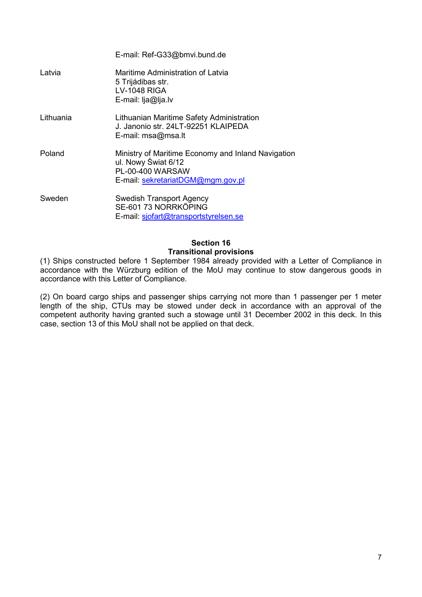|           | E-mail: Ref-G33@bmvi.bund.de                                                                                                       |
|-----------|------------------------------------------------------------------------------------------------------------------------------------|
| Latvia    | Maritime Administration of Latvia<br>5 Trijádibas str.<br><b>LV-1048 RIGA</b><br>E-mail: lja@lja.lv                                |
| Lithuania | Lithuanian Maritime Safety Administration<br>J. Janonio str. 24LT-92251 KLAIPEDA<br>E-mail: msa@msa.lt                             |
| Poland    | Ministry of Maritime Economy and Inland Navigation<br>ul. Nowy Świat 6/12<br>PL-00-400 WARSAW<br>E-mail: sekretariatDGM@mgm.gov.pl |
| Sweden    | <b>Swedish Transport Agency</b><br>SE-601 73 NORRKÖPING<br>E-mail: sjofart@transportstyrelsen.se                                   |

# **Section 16 Transitional provisions**

(1) Ships constructed before 1 September 1984 already provided with a Letter of Compliance in accordance with the Würzburg edition of the MoU may continue to stow dangerous goods in accordance with this Letter of Compliance.

(2) On board cargo ships and passenger ships carrying not more than 1 passenger per 1 meter length of the ship, CTUs may be stowed under deck in accordance with an approval of the competent authority having granted such a stowage until 31 December 2002 in this deck. In this competent case, section 13 of this MoU shall not be applied on that deck.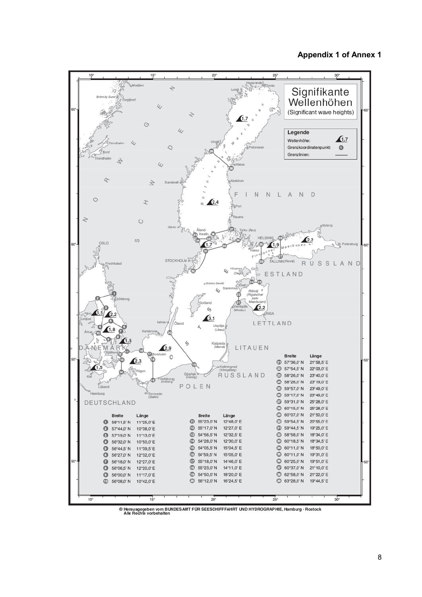### **Appendix 1 of Annex 1**



<sup>©</sup> Herausgegeben vom BUNDES AMT FÜR SEESCHIFFFAHRT UND HYDROGRAPHIE, Hamburg · Rostock<br>Alle Rechte vorbehalten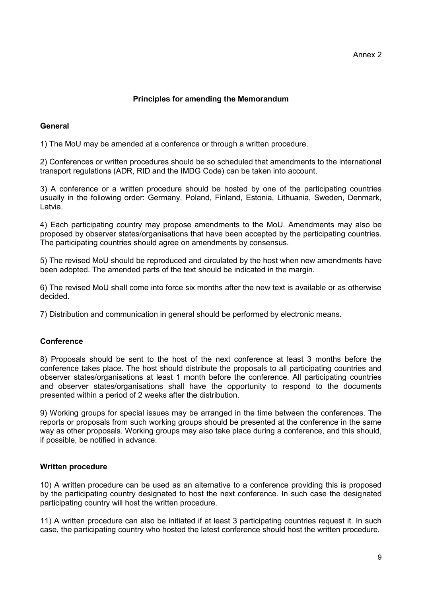# **Principles for amending the Memorandum**

# **General**

1) The MoU may be amended at a conference or through a written procedure.

2) Conferences or written procedures should be so scheduled that amendments to the international transport regulations (ADR, RID and the IMDG Code) can be taken into account.

3) A conference or a written procedure should be hosted by one of the participating countries usually in the following order: Germany, Poland, Finland, Estonia, Lithuania, Sweden, Denmark, Latvia.

4) Each participating country may propose amendments to the MoU. Amendments may also be proposed by observer states/organisations that have been accepted by the participating countries. The participating countries should agree on amendments by consensus.

5) The revised MoU should be reproduced and circulated by the host when new amendments have been adopted. The amended parts of the text should be indicated in the margin.

6) The revised MoU shall come into force six months after the new text is available or as otherwise decided.

7) Distribution and communication in general should be performed by electronic means.

# **Conference**

8) Proposals should be sent to the host of the next conference at least 3 months before the conference takes place. The host should distribute the proposals to all participating countries and observer states/organisations at least 1 month before the conference. All participating countries and observer states/organisations shall have the opportunity to respond to the documents presented within a period of 2 weeks after the distribution.

9) Working groups for special issues may be arranged in the time between the conferences. The reports or proposals from such working groups should be presented at the conference in the same way as other proposals. Working groups may also take place during a conference, and this should, if possible, be notified in advance.

### **Written procedure**

10) A written procedure can be used as an alternative to a conference providing this is proposed by the participating country designated to host the next conference. In such case the designated participating country will host the written procedure.

11) A written procedure can also be initiated if at least 3 participating countries request it. In such case, the participating country who hosted the latest conference should host the written procedure.